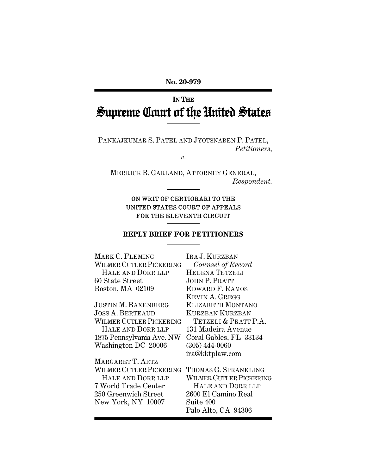**No. 20-979** 

# **IN THE** Supreme Court of the United States

PANKAJKUMAR S. PATEL AND JYOTSNABEN P. PATEL, *Petitioners,* 

*v.* 

MERRICK B. GARLAND, ATTORNEY GENERAL, *Respondent.* 

# ON WRIT OF CERTIORARI TO THE UNITED STATES COURT OF APPEALS FOR THE ELEVENTH CIRCUIT

I

### **REPLY BRIEF FOR PETITIONERS**

| MARK C. FLEMING            | IRA J. KURZBAN                 |
|----------------------------|--------------------------------|
| WILMER CUTLER PICKERING    | Counsel of Record              |
| HALE AND DORR LLP          | <b>HELENA TETZELI</b>          |
| 60 State Street            | <b>JOHN P. PRATT</b>           |
| Boston, MA 02109           | EDWARD F. RAMOS                |
|                            | KEVIN A. GREGG                 |
| JUSTIN <b>M.</b> BAXENBERG | ELIZABETH MONTANO              |
| Joss A. Berteaud           | <b>KURZBAN KURZBAN</b>         |
| WILMER CUTLER PICKERING    | TETZELI & PRATT P.A.           |
| HALE AND DORR LLP          | 131 Madeira Avenue             |
| 1875 Pennsylvania Ave. NW  | Coral Gables, FL 33134         |
| Washington DC 20006        | $(305) 444 - 0060$             |
|                            | ira@kktplaw.com                |
| MARGARET T. ARTZ           |                                |
| WILMER CUTLER PICKERING    | THOMAS G. SPRANKLING           |
| HALE AND DORR LLP          | <b>WILMER CUTLER PICKERING</b> |
| 7 World Trade Center       | HALE AND DORR LLP              |
| 250 Greenwich Street       | 2600 El Camino Real            |
| New York, NY 10007         | Suite 400                      |
|                            | Palo Alto, CA 94306            |
|                            |                                |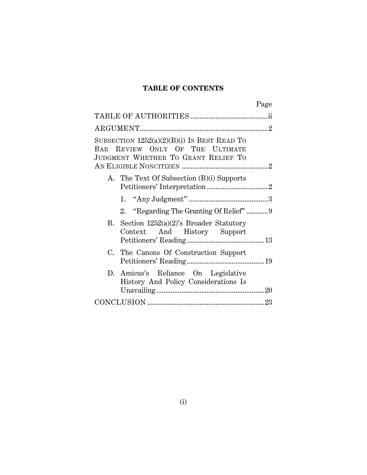# **TABLE OF CONTENTS**

| Page                                                                                                                    |  |
|-------------------------------------------------------------------------------------------------------------------------|--|
|                                                                                                                         |  |
|                                                                                                                         |  |
| SUBSECTION $1252(a)(2)(B)(i)$ Is BEST READ TO<br>BAR REVIEW ONLY OF THE ULTIMATE<br>JUDGMENT WHETHER TO GRANT RELIEF TO |  |
| A. The Text Of Subsection (B)(i) Supports                                                                               |  |
|                                                                                                                         |  |
| 2. "Regarding The Granting Of Relief" 9                                                                                 |  |
| B. Section $1252(a)(2)$ 's Broader Statutory<br>Context And History Support                                             |  |
| C. The Canons Of Construction Support                                                                                   |  |
| D. Amicus's Reliance On Legislative<br>History And Policy Considerations Is                                             |  |
|                                                                                                                         |  |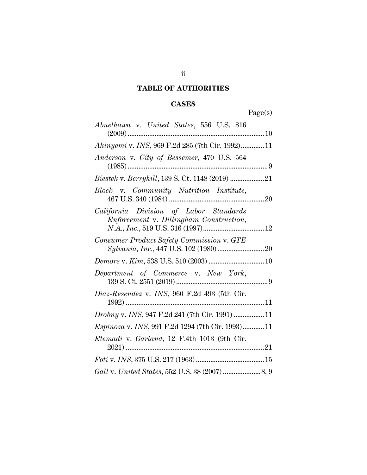# **TABLE OF AUTHORITIES**

# **CASES**

Page(s)

| Abuelhawa v. United States, 556 U.S. 816                                          |
|-----------------------------------------------------------------------------------|
| Akinyemi v. INS, 969 F.2d 285 (7th Cir. 1992)11                                   |
| Anderson v. City of Bessemer, 470 U.S. 564                                        |
|                                                                                   |
| Block v. Community Nutrition Institute,                                           |
| California Division of Labor Standards<br>Enforcement v. Dillingham Construction, |
| Consumer Product Safety Commission v. GTE                                         |
|                                                                                   |
| Department of Commerce v. New York,                                               |
| Diaz-Resendez v. INS, 960 F.2d 493 (5th Cir.                                      |
| <i>Drobny v. INS, 947 F.2d 241 (7th Cir. 1991) 11</i>                             |
| Espinoza v. INS, 991 F.2d 1294 (7th Cir. 1993) 11                                 |
| Etemadi v. Garland, 12 F.4th 1013 (9th Cir.                                       |
|                                                                                   |
|                                                                                   |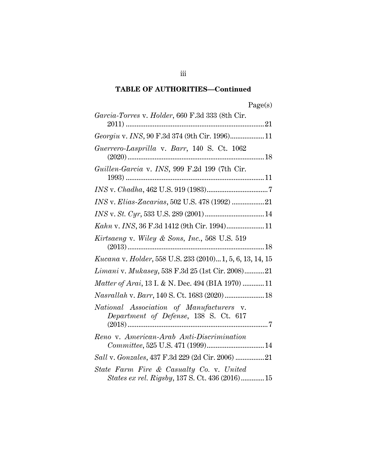# **TABLE OF AUTHORITIES—Continued**

|     | c |
|-----|---|
| aoe |   |

| Garcia-Torres v. Holder, 660 F.3d 333 (8th Cir.                                             |
|---------------------------------------------------------------------------------------------|
| Georgiu v. INS, 90 F.3d 374 (9th Cir. 1996) 11                                              |
| Guerrero-Lasprilla v. Barr, 140 S. Ct. 1062                                                 |
| Guillen-Garcia v. INS, 999 F.2d 199 (7th Cir.                                               |
|                                                                                             |
|                                                                                             |
|                                                                                             |
| Kahn v. INS, 36 F.3d 1412 (9th Cir. 1994) 11                                                |
| Kirtsaeng v. Wiley & Sons, Inc., 568 U.S. 519                                               |
| <i>Kucana v. Holder</i> , 558 U.S. 233 (2010)1, 5, 6, 13, 14, 15                            |
| <i>Limani</i> v. <i>Mukasey</i> , 538 F.3d 25 (1st Cir. 2008)21                             |
| Matter of Arai, 13 I. & N. Dec. 494 (BIA 1970)  11                                          |
| Nasrallah v. Barr, 140 S. Ct. 1683 (2020)  18                                               |
| National Association of Manufacturers v.<br>Department of Defense, 138 S. Ct. 617           |
| Reno v. American-Arab Anti-Discrimination                                                   |
| Sall v. Gonzales, 437 F.3d 229 (2d Cir. 2006)  21                                           |
| State Farm Fire & Casualty Co. v. United<br>States ex rel. Rigsby, 137 S. Ct. 436 (2016) 15 |

iii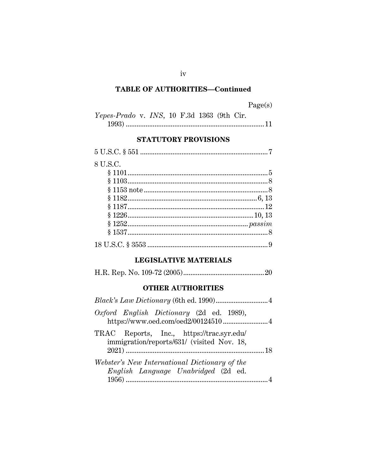# **TABLE OF AUTHORITIES-Continued**

| Yepes-Prado v. INS, 10 F.3d 1363 (9th Cir. |  |  |  |  |
|--------------------------------------------|--|--|--|--|
|                                            |  |  |  |  |

# STATUTORY PROVISIONS

| 8 U.S.C. |  |
|----------|--|
|          |  |
|          |  |
|          |  |
|          |  |
|          |  |
|          |  |
|          |  |
|          |  |
|          |  |

# **LEGISLATIVE MATERIALS**

|--|--|--|--|

# **OTHER AUTHORITIES**

| Oxford English Dictionary (2d ed. 1989),<br>https://www.oed.com/oed2/00124510 4         |  |
|-----------------------------------------------------------------------------------------|--|
| TRAC Reports, Inc., https://trac.syr.edu/<br>immigration/reports/631/ (visited Nov. 18, |  |
| Webster's New International Dictionary of the<br>English Language Unabridged (2d ed.    |  |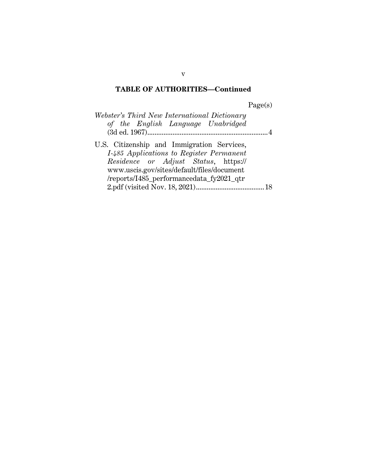# **TABLE OF AUTHORITIES—Continued**

Page(s)

| Webster's Third New International Dictionary                                           |  |
|----------------------------------------------------------------------------------------|--|
| of the English Language Unabridged                                                     |  |
|                                                                                        |  |
| U.S. Citizenship and Immigration Services,<br>I-485 Applications to Register Permanent |  |
| <i>Residence or Adjust Status</i> , https://                                           |  |
| www.uscis.gov/sites/default/files/document                                             |  |
| /reports/I485_performancedata_fy2021_qtr                                               |  |
|                                                                                        |  |

v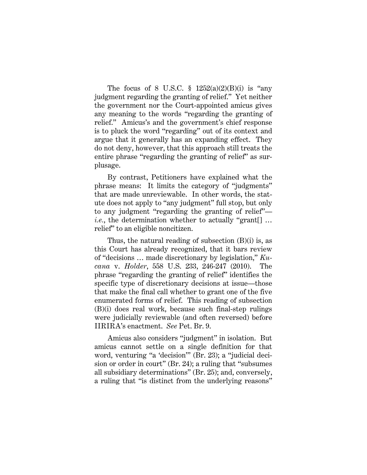The focus of 8 U.S.C.  $\frac{1252(a)(2)(B)(i)}{2}$  is "any judgment regarding the granting of relief." Yet neither the government nor the Court-appointed amicus gives any meaning to the words "regarding the granting of relief." Amicus's and the government's chief response is to pluck the word "regarding" out of its context and argue that it generally has an expanding effect. They do not deny, however, that this approach still treats the entire phrase "regarding the granting of relief" as surplusage.

By contrast, Petitioners have explained what the phrase means: It limits the category of "judgments" that are made unreviewable. In other words, the statute does not apply to "any judgment" full stop, but only to any judgment "regarding the granting of relief" *i.e.*, the determination whether to actually "grant[] … relief" to an eligible noncitizen.

Thus, the natural reading of subsection (B)(i) is, as this Court has already recognized, that it bars review of "decisions … made discretionary by legislation," *Kucana* v. *Holder*, 558 U.S. 233, 246-247 (2010). The phrase "regarding the granting of relief" identifies the specific type of discretionary decisions at issue—those that make the final call whether to grant one of the five enumerated forms of relief. This reading of subsection (B)(i) does real work, because such final-step rulings were judicially reviewable (and often reversed) before IIRIRA's enactment. *See* Pet. Br. 9.

Amicus also considers "judgment" in isolation. But amicus cannot settle on a single definition for that word, venturing "a 'decision'" (Br. 23); a "judicial decision or order in court" (Br. 24); a ruling that "subsumes all subsidiary determinations" (Br. 25); and, conversely, a ruling that "is distinct from the underlying reasons"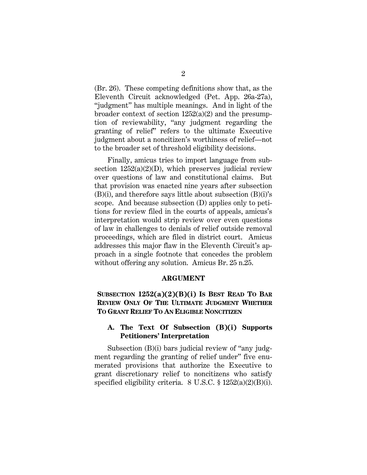(Br. 26). These competing definitions show that, as the Eleventh Circuit acknowledged (Pet. App. 26a-27a), "judgment" has multiple meanings. And in light of the broader context of section 1252(a)(2) and the presumption of reviewability, "any judgment regarding the granting of relief" refers to the ultimate Executive judgment about a noncitizen's worthiness of relief—not to the broader set of threshold eligibility decisions.

Finally, amicus tries to import language from subsection  $1252(a)(2)(D)$ , which preserves judicial review over questions of law and constitutional claims. But that provision was enacted nine years after subsection (B)(i), and therefore says little about subsection (B)(i)'s scope. And because subsection (D) applies only to petitions for review filed in the courts of appeals, amicus's interpretation would strip review over even questions of law in challenges to denials of relief outside removal proceedings, which are filed in district court. Amicus addresses this major flaw in the Eleventh Circuit's approach in a single footnote that concedes the problem without offering any solution. Amicus Br. 25 n.25.

#### **ARGUMENT**

### **SUBSECTION 1252(a)(2)(B)(i) IS BEST READ TO BAR REVIEW ONLY OF THE ULTIMATE JUDGMENT WHETHER TO GRANT RELIEF TO AN ELIGIBLE NONCITIZEN**

### **A. The Text Of Subsection (B)(i) Supports Petitioners' Interpretation**

Subsection (B)(i) bars judicial review of "any judgment regarding the granting of relief under" five enumerated provisions that authorize the Executive to grant discretionary relief to noncitizens who satisfy specified eligibility criteria. 8 U.S.C. § 1252(a)(2)(B)(i).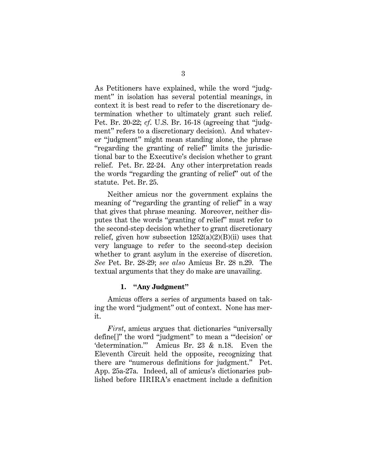As Petitioners have explained, while the word "judgment" in isolation has several potential meanings, in context it is best read to refer to the discretionary determination whether to ultimately grant such relief. Pet. Br. 20-22; *cf*. U.S. Br. 16-18 (agreeing that "judgment" refers to a discretionary decision). And whatever "judgment" might mean standing alone, the phrase "regarding the granting of relief" limits the jurisdictional bar to the Executive's decision whether to grant relief. Pet. Br. 22-24. Any other interpretation reads the words "regarding the granting of relief" out of the statute. Pet. Br. 25.

Neither amicus nor the government explains the meaning of "regarding the granting of relief" in a way that gives that phrase meaning. Moreover, neither disputes that the words "granting of relief" must refer to the second-step decision whether to grant discretionary relief, given how subsection  $1252(a)(2)(B)(ii)$  uses that very language to refer to the second-step decision whether to grant asylum in the exercise of discretion. *See* Pet. Br. 28-29; *see also* Amicus Br. 28 n.29. The textual arguments that they do make are unavailing.

#### **1. "Any Judgment"**

Amicus offers a series of arguments based on taking the word "judgment" out of context. None has merit.

*First*, amicus argues that dictionaries "universally define[]" the word "judgment" to mean a "'decision' or 'determination.'" Amicus Br. 23 & n.18. Even the Eleventh Circuit held the opposite, recognizing that there are "numerous definitions for judgment." Pet. App. 25a-27a. Indeed, all of amicus's dictionaries published before IIRIRA's enactment include a definition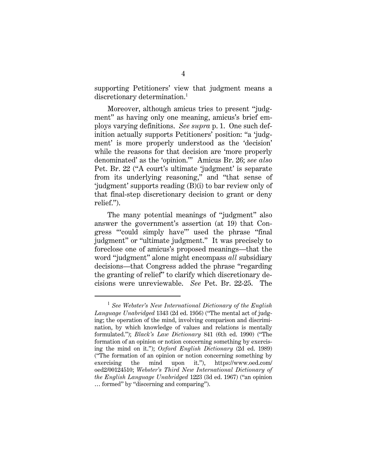supporting Petitioners' view that judgment means a discretionary determination.<sup>1</sup>

Moreover, although amicus tries to present "judgment" as having only one meaning, amicus's brief employs varying definitions. *See supra* p. 1. One such definition actually supports Petitioners' position: "a 'judgment' is more properly understood as the 'decision' while the reasons for that decision are 'more properly denominated' as the 'opinion.'" Amicus Br. 26; *see also* Pet. Br. 22 ("A court's ultimate 'judgment' is separate from its underlying reasoning," and "that sense of 'judgment' supports reading (B)(i) to bar review only of that final-step discretionary decision to grant or deny relief.").

The many potential meanings of "judgment" also answer the government's assertion (at 19) that Congress "'could simply have'" used the phrase "final judgment" or "ultimate judgment." It was precisely to foreclose one of amicus's proposed meanings—that the word "judgment" alone might encompass *all* subsidiary decisions—that Congress added the phrase "regarding the granting of relief" to clarify which discretionary decisions were unreviewable. *See* Pet. Br. 22-25. The

<sup>1</sup> *See Webster's New International Dictionary of the English Language Unabridged* 1343 (2d ed. 1956) ("The mental act of judging; the operation of the mind, involving comparison and discrimination, by which knowledge of values and relations is mentally formulated."); *Black's Law Dictionary* 841 (6th ed. 1990) ("The formation of an opinion or notion concerning something by exercising the mind on it."); *Oxford English Dictionary* (2d ed. 1989) ("The formation of an opinion or notion concerning something by exercising the mind upon it."), https://www.oed.com/ oed2/00124510; *Webster's Third New International Dictionary of the English Language Unabridged* 1223 (3d ed. 1967) ("an opinion … formed" by "discerning and comparing").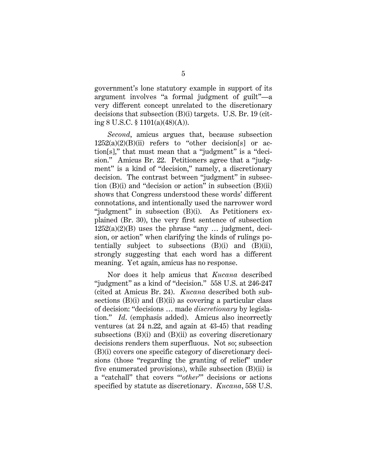government's lone statutory example in support of its argument involves "a formal judgment of guilt"—a very different concept unrelated to the discretionary decisions that subsection (B)(i) targets. U.S. Br. 19 (citing 8 U.S.C. § 1101(a)(48)(A)).

*Second*, amicus argues that, because subsection  $1252(a)(2)(B)(ii)$  refers to "other decision[s] or action[s]," that must mean that a "judgment" is a "decision." Amicus Br. 22. Petitioners agree that a "judgment" is a kind of "decision," namely, a discretionary decision. The contrast between "judgment" in subsection  $(B)(i)$  and "decision or action" in subsection  $(B)(ii)$ shows that Congress understood these words' different connotations, and intentionally used the narrower word "judgment" in subsection (B)(i). As Petitioners explained (Br. 30), the very first sentence of subsection  $1252(a)(2)(B)$  uses the phrase "any ... judgment, decision, or action" when clarifying the kinds of rulings potentially subject to subsections (B)(i) and (B)(ii), strongly suggesting that each word has a different meaning. Yet again, amicus has no response.

Nor does it help amicus that *Kucana* described "judgment" as a kind of "decision." 558 U.S. at 246-247 (cited at Amicus Br. 24). *Kucana* described both subsections  $(B)(i)$  and  $(B)(ii)$  as covering a particular class of decision: "decisions … made *discretionary* by legislation." *Id*. (emphasis added). Amicus also incorrectly ventures (at 24 n.22, and again at 43-45) that reading subsections (B)(i) and (B)(ii) as covering discretionary decisions renders them superfluous. Not so; subsection (B)(i) covers one specific category of discretionary decisions (those "regarding the granting of relief" under five enumerated provisions), while subsection (B)(ii) is a "catchall" that covers "'*other*'" decisions or actions specified by statute as discretionary. *Kucana*, 558 U.S.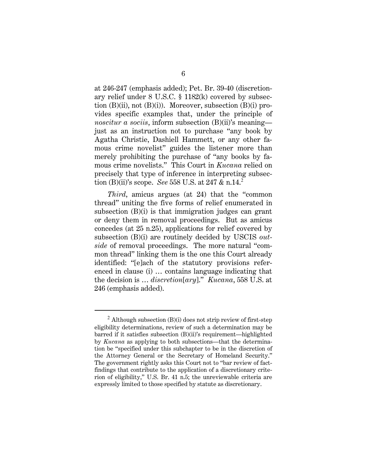at 246-247 (emphasis added); Pet. Br. 39-40 (discretionary relief under 8 U.S.C. § 1182(k) covered by subsection  $(B)(ii)$ , not  $(B)(i)$ ). Moreover, subsection  $(B)(i)$  provides specific examples that, under the principle of *noscitur a sociis*, inform subsection (B)(ii)'s meaning just as an instruction not to purchase "any book by Agatha Christie, Dashiell Hammett, or any other famous crime novelist" guides the listener more than merely prohibiting the purchase of "any books by famous crime novelists." This Court in *Kucana* relied on precisely that type of inference in interpreting subsection (B)(ii)'s scope. *See* 558 U.S. at 247 & n.14.<sup>2</sup>

*Third*, amicus argues (at 24) that the "common thread" uniting the five forms of relief enumerated in subsection (B)(i) is that immigration judges can grant or deny them in removal proceedings. But as amicus concedes (at 25 n.25), applications for relief covered by subsection (B)(i) are routinely decided by USCIS *outside* of removal proceedings. The more natural "common thread" linking them is the one this Court already identified: "[e]ach of the statutory provisions referenced in clause (i) … contains language indicating that the decision is … *discretion*[*ary*]." *Kucana*, 558 U.S. at 246 (emphasis added).

 $2$  Although subsection (B)(i) does not strip review of first-step eligibility determinations, review of such a determination may be barred if it satisfies subsection (B)(ii)'s requirement—highlighted by *Kucana* as applying to both subsections—that the determination be "specified under this subchapter to be in the discretion of the Attorney General or the Secretary of Homeland Security." The government rightly asks this Court not to "bar review of factfindings that contribute to the application of a discretionary criterion of eligibility," U.S. Br. 41 n.5; the unreviewable criteria are expressly limited to those specified by statute as discretionary.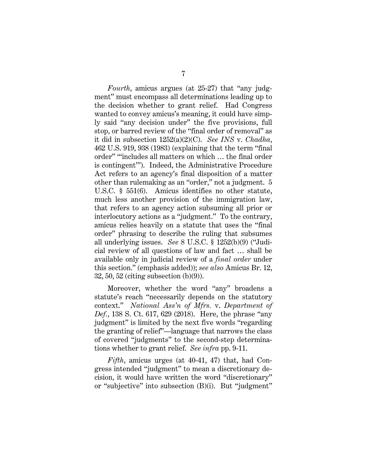*Fourth*, amicus argues (at 25-27) that "any judgment" must encompass all determinations leading up to the decision whether to grant relief. Had Congress wanted to convey amicus's meaning, it could have simply said "any decision under" the five provisions, full stop, or barred review of the "final order of removal" as it did in subsection 1252(a)(2)(C). *See INS* v. *Chadha*, 462 U.S. 919, 938 (1983) (explaining that the term "final order" "'includes all matters on which … the final order is contingent'"). Indeed, the Administrative Procedure Act refers to an agency's final disposition of a matter other than rulemaking as an "order," not a judgment. 5 U.S.C. § 551(6). Amicus identifies no other statute, much less another provision of the immigration law, that refers to an agency action subsuming all prior or interlocutory actions as a "judgment." To the contrary, amicus relies heavily on a statute that uses the "final order" phrasing to describe the ruling that subsumes all underlying issues. *See* 8 U.S.C. § 1252(b)(9) ("Judicial review of all questions of law and fact … shall be available only in judicial review of a *final order* under this section." (emphasis added)); *see also* Amicus Br. 12, 32, 50, 52 (citing subsection (b)(9)).

Moreover, whether the word "any" broadens a statute's reach "necessarily depends on the statutory context." *National Ass'n of Mfrs.* v. *Department of Def.*, 138 S. Ct. 617, 629 (2018). Here, the phrase "any judgment" is limited by the next five words "regarding the granting of relief"—language that narrows the class of covered "judgments" to the second-step determinations whether to grant relief. *See infra* pp. 9-11.

*Fifth*, amicus urges (at 40-41, 47) that, had Congress intended "judgment" to mean a discretionary decision, it would have written the word "discretionary" or "subjective" into subsection (B)(i). But "judgment"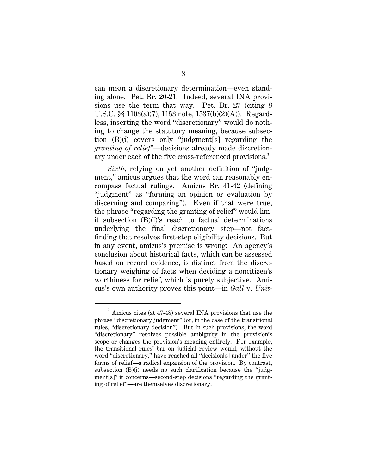can mean a discretionary determination—even standing alone. Pet. Br. 20-21. Indeed, several INA provisions use the term that way. Pet. Br. 27 (citing 8 U.S.C. §§ 1103(a)(7), 1153 note, 1537(b)(2)(A)). Regardless, inserting the word "discretionary" would do nothing to change the statutory meaning, because subsection (B)(i) covers only "judgment[s] regarding the *granting of relief*"—decisions already made discretionary under each of the five cross-referenced provisions.<sup>3</sup>

*Sixth*, relying on yet another definition of "judgment," amicus argues that the word can reasonably encompass factual rulings. Amicus Br. 41-42 (defining "judgment" as "forming an opinion or evaluation by discerning and comparing"). Even if that were true, the phrase "regarding the granting of relief" would limit subsection (B)(i)'s reach to factual determinations underlying the final discretionary step—not factfinding that resolves first-step eligibility decisions. But in any event, amicus's premise is wrong: An agency's conclusion about historical facts, which can be assessed based on record evidence, is distinct from the discretionary weighing of facts when deciding a noncitizen's worthiness for relief, which is purely subjective. Amicus's own authority proves this point—in *Gall* v. *Unit-*

<sup>&</sup>lt;sup>3</sup> Amicus cites (at 47-48) several INA provisions that use the phrase "discretionary judgment" (or, in the case of the transitional rules, "discretionary decision"). But in such provisions, the word "discretionary" resolves possible ambiguity in the provision's scope or changes the provision's meaning entirely. For example, the transitional rules' bar on judicial review would, without the word "discretionary," have reached all "decision[s] under" the five forms of relief—a radical expansion of the provision. By contrast, subsection (B)(i) needs no such clarification because the "judgment[s]" it concerns—second-step decisions "regarding the granting of relief"—are themselves discretionary.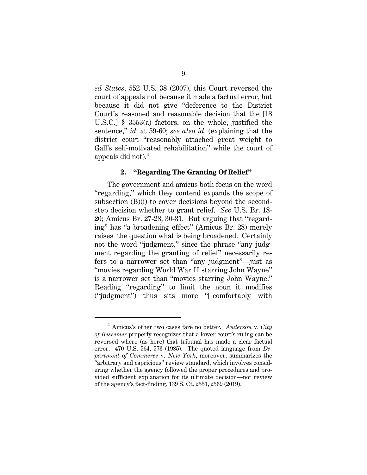*ed States*, 552 U.S. 38 (2007), this Court reversed the court of appeals not because it made a factual error, but because it did not give "deference to the District Court's reasoned and reasonable decision that the [18 U.S.C.] § 3553(a) factors, on the whole, justified the sentence," *id*. at 59-60; *see also id*. (explaining that the district court "reasonably attached great weight to Gall's self-motivated rehabilitation" while the court of appeals did not).<sup>4</sup>

#### **2. "Regarding The Granting Of Relief"**

The government and amicus both focus on the word "regarding," which they contend expands the scope of subsection (B)(i) to cover decisions beyond the secondstep decision whether to grant relief. *See* U.S. Br. 18- 20; Amicus Br. 27-28, 30-31. But arguing that "regarding" has "a broadening effect" (Amicus Br. 28) merely raises the question what is being broadened. Certainly not the word "judgment," since the phrase "any judgment regarding the granting of relief" necessarily refers to a narrower set than "any judgment"—just as "movies regarding World War II starring John Wayne" is a narrower set than "movies starring John Wayne." Reading "regarding" to limit the noun it modifies ("judgment") thus sits more "[]comfortably with

<sup>4</sup> Amicus's other two cases fare no better. *Anderson* v. *City of Bessemer* properly recognizes that a lower court's ruling can be reversed where (as here) that tribunal has made a clear factual error. 470 U.S. 564, 573 (1985). The quoted language from *Department of Commerce* v. *New York*, moreover, summarizes the "arbitrary and capricious" review standard, which involves considering whether the agency followed the proper procedures and provided sufficient explanation for its ultimate decision—not review of the agency's fact-finding, 139 S. Ct. 2551, 2569 (2019).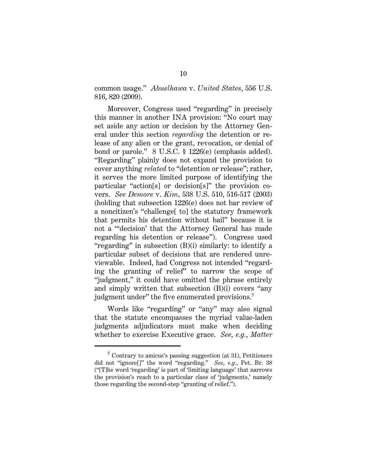common usage." *Abuelhawa* v. *United States*, 556 U.S. 816, 820 (2009).

Moreover, Congress used "regarding" in precisely this manner in another INA provision: "No court may set aside any action or decision by the Attorney General under this section *regarding* the detention or release of any alien or the grant, revocation, or denial of bond or parole." 8 U.S.C. § 1226(e) (emphasis added). "Regarding" plainly does not expand the provision to cover anything *related* to "detention or release"; rather, it serves the more limited purpose of identifying the particular "action[s] or decision[s]" the provision covers. *See Demore* v. *Kim*, 538 U.S. 510, 516-517 (2003) (holding that subsection 1226(e) does not bar review of a noncitizen's "challenge[ to] the statutory framework that permits his detention without bail" because it is not a "'decision' that the Attorney General has made regarding his detention or release"). Congress used "regarding" in subsection (B)(i) similarly: to identify a particular subset of decisions that are rendered unreviewable. Indeed, had Congress not intended "regarding the granting of relief" to narrow the scope of "judgment," it could have omitted the phrase entirely and simply written that subsection (B)(i) covers "any judgment under" the five enumerated provisions.<sup>5</sup>

Words like "regarding" or "any" may also signal that the statute encompasses the myriad value-laden judgments adjudicators must make when deciding whether to exercise Executive grace. *See, e.g.*, *Matter* 

<sup>&</sup>lt;sup>5</sup> Contrary to amicus's passing suggestion (at 31), Petitioners did not "ignore<sup>[]"</sup> the word "regarding." *See, e.g.*, Pet. Br. 38 ("[T]he word 'regarding' is part of 'limiting language' that narrows the provision's reach to a particular class of 'judgments,' namely those regarding the second-step "granting of relief.").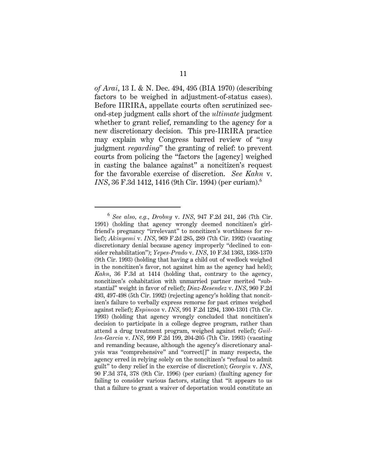*of Arai*, 13 I. & N. Dec. 494, 495 (BIA 1970) (describing factors to be weighed in adjustment-of-status cases). Before IIRIRA, appellate courts often scrutinized second-step judgment calls short of the *ultimate* judgment whether to grant relief, remanding to the agency for a new discretionary decision. This pre-IIRIRA practice may explain why Congress barred review of "*any* judgment *regarding*" the granting of relief: to prevent courts from policing the "factors the [agency] weighed in casting the balance against" a noncitizen's request for the favorable exercise of discretion. *See Kahn* v. *INS*, 36 F.3d 1412, 1416 (9th Cir. 1994) (per curiam).<sup>6</sup>

<sup>6</sup> *See also, e.g.*, *Drobny* v. *INS*, 947 F.2d 241, 246 (7th Cir. 1991) (holding that agency wrongly deemed noncitizen's girlfriend's pregnancy "irrelevant" to noncitizen's worthiness for relief); *Akinyemi* v. *INS*, 969 F.2d 285, 289 (7th Cir. 1992) (vacating discretionary denial because agency improperly "declined to consider rehabilitation"); *Yepes-Prado* v. *INS*, 10 F.3d 1363, 1368-1370 (9th Cir. 1993) (holding that having a child out of wedlock weighed in the noncitizen's favor, not against him as the agency had held); *Kahn*, 36 F.3d at 1414 (holding that, contrary to the agency, noncitizen's cohabitation with unmarried partner merited "substantial" weight in favor of relief); *Diaz-Resendez* v. *INS*, 960 F.2d 493, 497-498 (5th Cir. 1992) (rejecting agency's holding that noncitizen's failure to verbally express remorse for past crimes weighed against relief); *Espinoza* v. *INS*, 991 F.2d 1294, 1300-1301 (7th Cir. 1993) (holding that agency wrongly concluded that noncitizen's decision to participate in a college degree program, rather than attend a drug treatment program, weighed against relief); *Guillen-Garcia* v. *INS*, 999 F.2d 199, 204-205 (7th Cir. 1993) (vacating and remanding because, although the agency's discretionary analysis was "comprehensive" and "correct[]" in many respects, the agency erred in relying solely on the noncitizen's "refusal to admit guilt" to deny relief in the exercise of discretion); *Georgiu* v. *INS*, 90 F.3d 374, 378 (9th Cir. 1996) (per curiam) (faulting agency for failing to consider various factors, stating that "it appears to us that a failure to grant a waiver of deportation would constitute an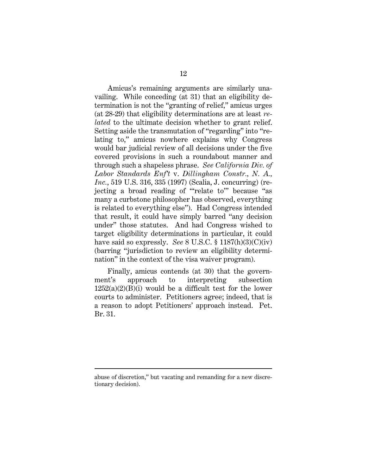Amicus's remaining arguments are similarly unavailing. While conceding (at 31) that an eligibility determination is not the "granting of relief," amicus urges (at 28-29) that eligibility determinations are at least *related* to the ultimate decision whether to grant relief. Setting aside the transmutation of "regarding" into "relating to," amicus nowhere explains why Congress would bar judicial review of all decisions under the five covered provisions in such a roundabout manner and through such a shapeless phrase. *See California Div. of Labor Standards Enf't* v. *Dillingham Constr., N. A., Inc.*, 519 U.S. 316, 335 (1997) (Scalia, J. concurring) (rejecting a broad reading of "'relate to'" because "as many a curbstone philosopher has observed, everything is related to everything else"). Had Congress intended that result, it could have simply barred "any decision under" those statutes. And had Congress wished to target eligibility determinations in particular, it could have said so expressly. *See* 8 U.S.C. § 1187(h)(3)(C)(iv) (barring "jurisdiction to review an eligibility determination" in the context of the visa waiver program).

Finally, amicus contends (at 30) that the government's approach to interpreting subsection  $1252(a)(2)(B)(i)$  would be a difficult test for the lower courts to administer. Petitioners agree; indeed, that is a reason to adopt Petitioners' approach instead. Pet. Br. 31.

abuse of discretion," but vacating and remanding for a new discretionary decision).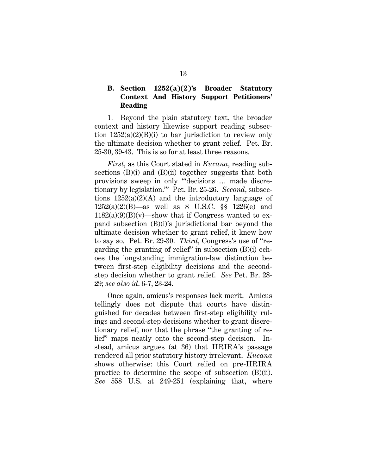### **B. Section 1252(a)(2)'s Broader Statutory Context And History Support Petitioners' Reading**

1. Beyond the plain statutory text, the broader context and history likewise support reading subsection  $1252(a)(2)(B)(i)$  to bar jurisdiction to review only the ultimate decision whether to grant relief. Pet. Br. 25-30, 39-43. This is so for at least three reasons.

*First*, as this Court stated in *Kucana*, reading subsections (B)(i) and (B)(ii) together suggests that both provisions sweep in only "'decisions … made discretionary by legislation.'" Pet. Br. 25-26. *Second*, subsections  $1252(a)(2)(A)$  and the introductory language of 1252(a)(2)(B)—as well as 8 U.S.C. §§ 1226(e) and  $1182(a)(9)(B)(v)$ —show that if Congress wanted to expand subsection (B)(i)'s jurisdictional bar beyond the ultimate decision whether to grant relief, it knew how to say so. Pet. Br. 29-30. *Third*, Congress's use of "regarding the granting of relief" in subsection (B)(i) echoes the longstanding immigration-law distinction between first-step eligibility decisions and the secondstep decision whether to grant relief. *See* Pet. Br. 28- 29; *see also id*. 6-7, 23-24.

Once again, amicus's responses lack merit. Amicus tellingly does not dispute that courts have distinguished for decades between first-step eligibility rulings and second-step decisions whether to grant discretionary relief, nor that the phrase "the granting of relief" maps neatly onto the second-step decision. Instead, amicus argues (at 36) that IIRIRA's passage rendered all prior statutory history irrelevant. *Kucana* shows otherwise: this Court relied on pre-IIRIRA practice to determine the scope of subsection (B)(ii). *See* 558 U.S. at 249-251 (explaining that, where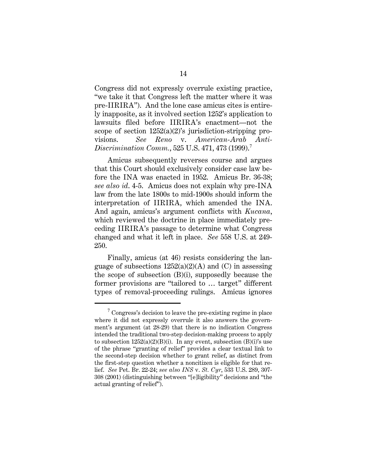Congress did not expressly overrule existing practice, "we take it that Congress left the matter where it was pre-IIRIRA"). And the lone case amicus cites is entirely inapposite, as it involved section 1252's application to lawsuits filed before IIRIRA's enactment—not the scope of section 1252(a)(2)'s jurisdiction-stripping provisions. *See Reno* v. *American-Arab Anti-Discrimination Comm.*, 525 U.S. 471, 473 (1999).<sup>7</sup>

Amicus subsequently reverses course and argues that this Court should exclusively consider case law before the INA was enacted in 1952. Amicus Br. 36-38; *see also id*. 4-5. Amicus does not explain why pre-INA law from the late 1800s to mid-1900s should inform the interpretation of IIRIRA, which amended the INA. And again, amicus's argument conflicts with *Kucana*, which reviewed the doctrine in place immediately preceding IIRIRA's passage to determine what Congress changed and what it left in place. *See* 558 U.S. at 249- 250.

Finally, amicus (at 46) resists considering the language of subsections  $1252(a)(2)(A)$  and (C) in assessing the scope of subsection (B)(i), supposedly because the former provisions are "tailored to … target" different types of removal-proceeding rulings. Amicus ignores

 $7 \text{ Congress's decision to leave the pre-existing regime in place}$ where it did not expressly overrule it also answers the government's argument (at 28-29) that there is no indication Congress intended the traditional two-step decision-making process to apply to subsection  $1252(a)(2)(B)(i)$ . In any event, subsection  $(B)(i)$ 's use of the phrase "granting of relief" provides a clear textual link to the second-step decision whether to grant relief, as distinct from the first-step question whether a noncitizen is eligible for that relief. *See* Pet. Br. 22-24; *see also INS* v. *St. Cyr*, 533 U.S. 289, 307- 308 (2001) (distinguishing between "[e]ligibility" decisions and "the actual granting of relief").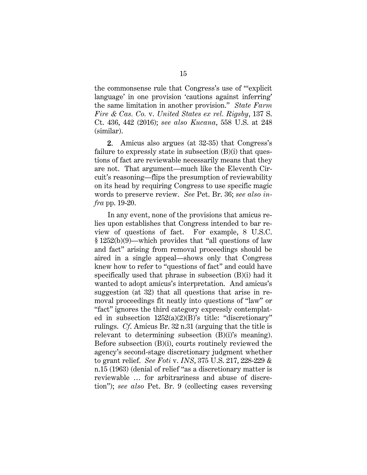the commonsense rule that Congress's use of "'explicit language' in one provision 'cautions against inferring' the same limitation in another provision." *State Farm Fire & Cas. Co.* v. *United States ex rel. Rigsby*, 137 S. Ct. 436, 442 (2016); *see also Kucana*, 558 U.S. at 248 (similar).

2. Amicus also argues (at 32-35) that Congress's failure to expressly state in subsection (B)(i) that questions of fact are reviewable necessarily means that they are not. That argument—much like the Eleventh Circuit's reasoning—flips the presumption of reviewability on its head by requiring Congress to use specific magic words to preserve review. *See* Pet. Br. 36; *see also infra* pp. 19-20.

In any event, none of the provisions that amicus relies upon establishes that Congress intended to bar review of questions of fact. For example, 8 U.S.C. § 1252(b)(9)—which provides that "all questions of law and fact" arising from removal proceedings should be aired in a single appeal—shows only that Congress knew how to refer to "questions of fact" and could have specifically used that phrase in subsection (B)(i) had it wanted to adopt amicus's interpretation. And amicus's suggestion (at 32) that all questions that arise in removal proceedings fit neatly into questions of "law" or "fact" ignores the third category expressly contemplated in subsection 1252(a)(2)(B)'s title: "discretionary" rulings. *Cf*. Amicus Br. 32 n.31 (arguing that the title is relevant to determining subsection (B)(i)'s meaning). Before subsection (B)(i), courts routinely reviewed the agency's second-stage discretionary judgment whether to grant relief. *See Foti* v. *INS*, 375 U.S. 217, 228-229 & n.15 (1963) (denial of relief "as a discretionary matter is reviewable … for arbitrariness and abuse of discretion"); *see also* Pet. Br. 9 (collecting cases reversing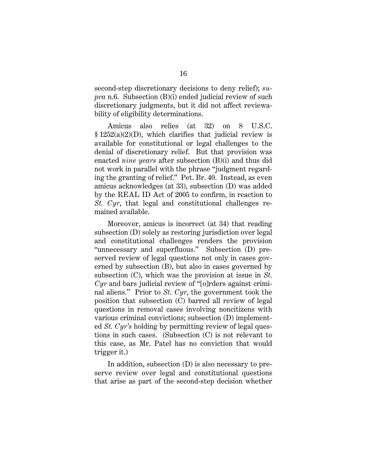second-step discretionary decisions to deny relief); *supra* n.6. Subsection (B)(i) ended judicial review of such discretionary judgments, but it did not affect reviewability of eligibility determinations.

Amicus also relies (at 32) on 8 U.S.C. § 1252(a)(2)(D), which clarifies that judicial review is available for constitutional or legal challenges to the denial of discretionary relief. But that provision was enacted *nine years* after subsection (B)(i) and thus did not work in parallel with the phrase "judgment regarding the granting of relief." Pet. Br. 40. Instead, as even amicus acknowledges (at 33), subsection (D) was added by the REAL ID Act of 2005 to confirm, in reaction to *St. Cyr*, that legal and constitutional challenges remained available.

Moreover, amicus is incorrect (at 34) that reading subsection (D) solely as restoring jurisdiction over legal and constitutional challenges renders the provision "unnecessary and superfluous." Subsection (D) preserved review of legal questions not only in cases governed by subsection (B), but also in cases governed by subsection (C), which was the provision at issue in *St. Cyr* and bars judicial review of "[o]rders against criminal aliens." Prior to *St. Cyr*, the government took the position that subsection (C) barred all review of legal questions in removal cases involving noncitizens with various criminal convictions; subsection (D) implemented *St. Cyr's* holding by permitting review of legal questions in such cases. (Subsection (C) is not relevant to this case, as Mr. Patel has no conviction that would trigger it.)

In addition, subsection (D) is also necessary to preserve review over legal and constitutional questions that arise as part of the second-step decision whether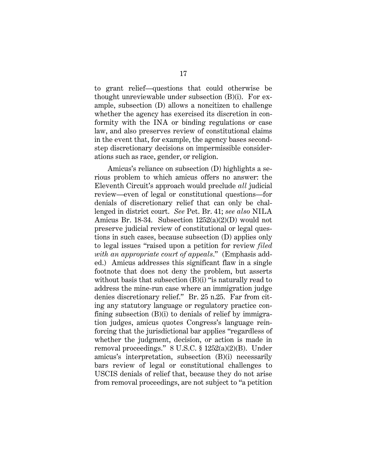to grant relief—questions that could otherwise be thought unreviewable under subsection (B)(i). For example, subsection (D) allows a noncitizen to challenge whether the agency has exercised its discretion in conformity with the INA or binding regulations or case law, and also preserves review of constitutional claims in the event that, for example, the agency bases secondstep discretionary decisions on impermissible considerations such as race, gender, or religion.

Amicus's reliance on subsection (D) highlights a serious problem to which amicus offers no answer: the Eleventh Circuit's approach would preclude *all* judicial review—even of legal or constitutional questions—for denials of discretionary relief that can only be challenged in district court. *See* Pet. Br. 41; *see also* NILA Amicus Br. 18-34. Subsection 1252(a)(2)(D) would not preserve judicial review of constitutional or legal questions in such cases, because subsection (D) applies only to legal issues "raised upon a petition for review *filed with an appropriate court of appeals*." (Emphasis added.)Amicus addresses this significant flaw in a single footnote that does not deny the problem, but asserts without basis that subsection  $(B)(i)$  "is naturally read to address the mine-run case where an immigration judge denies discretionary relief." Br. 25 n.25. Far from citing any statutory language or regulatory practice confining subsection (B)(i) to denials of relief by immigration judges, amicus quotes Congress's language reinforcing that the jurisdictional bar applies "regardless of whether the judgment, decision, or action is made in removal proceedings." 8 U.S.C. § 1252(a)(2)(B). Under amicus's interpretation, subsection (B)(i) necessarily bars review of legal or constitutional challenges to USCIS denials of relief that, because they do not arise from removal proceedings, are not subject to "a petition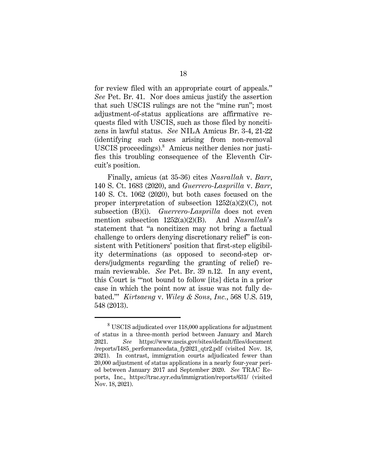for review filed with an appropriate court of appeals." *See* Pet. Br. 41. Nor does amicus justify the assertion that such USCIS rulings are not the "mine run"; most adjustment-of-status applications are affirmative requests filed with USCIS, such as those filed by noncitizens in lawful status. *See* NILA Amicus Br. 3-4, 21-22 (identifying such cases arising from non-removal USCIS proceedings).<sup>8</sup> Amicus neither denies nor justifies this troubling consequence of the Eleventh Circuit's position.

Finally, amicus (at 35-36) cites *Nasrallah* v. *Barr*, 140 S. Ct. 1683 (2020), and *Guerrero-Lasprilla* v. *Barr*, 140 S. Ct. 1062 (2020), but both cases focused on the proper interpretation of subsection 1252(a)(2)(C), not subsection (B)(i). *Guerrero-Lasprilla* does not even mention subsection 1252(a)(2)(B). And *Nasrallah*'s statement that "a noncitizen may not bring a factual challenge to orders denying discretionary relief" is consistent with Petitioners' position that first-step eligibility determinations (as opposed to second-step orders/judgments regarding the granting of relief) remain reviewable. *See* Pet. Br. 39 n.12. In any event, this Court is "'not bound to follow [its] dicta in a prior case in which the point now at issue was not fully debated.'" *Kirtsaeng* v. *Wiley & Sons, Inc.*, 568 U.S. 519, 548 (2013).

 $8\text{ USCIS}$  adjudicated over 118,000 applications for adjustment of status in a three-month period between January and March 2021. *See* https://www.uscis.gov/sites/default/files/document /reports/I485\_performancedata\_fy2021\_qtr2.pdf (visited Nov. 18, 2021). In contrast, immigration courts adjudicated fewer than 20,000 adjustment of status applications in a nearly four-year period between January 2017 and September 2020. *See* TRAC Reports, Inc., https://trac.syr.edu/immigration/reports/631/ (visited Nov. 18, 2021).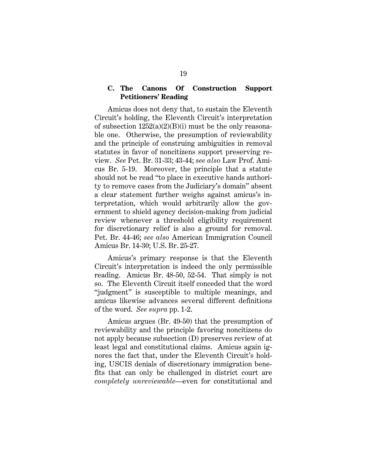### **C. The Canons Of Construction Support Petitioners' Reading**

Amicus does not deny that, to sustain the Eleventh Circuit's holding, the Eleventh Circuit's interpretation of subsection  $1252(a)(2)(B)(i)$  must be the only reasonable one. Otherwise, the presumption of reviewability and the principle of construing ambiguities in removal statutes in favor of noncitizens support preserving review. *See* Pet. Br. 31-33; 43-44; *see also* Law Prof. Amicus Br. 5-19. Moreover, the principle that a statute should not be read "to place in executive hands authority to remove cases from the Judiciary's domain" absent a clear statement further weighs against amicus's interpretation, which would arbitrarily allow the government to shield agency decision-making from judicial review whenever a threshold eligibility requirement for discretionary relief is also a ground for removal. Pet. Br. 44-46; *see also* American Immigration Council Amicus Br. 14-30; U.S. Br. 25-27.

Amicus's primary response is that the Eleventh Circuit's interpretation is indeed the only permissible reading. Amicus Br. 48-50, 52-54. That simply is not so. The Eleventh Circuit itself conceded that the word "judgment" is susceptible to multiple meanings, and amicus likewise advances several different definitions of the word. *See supra* pp. 1-2.

Amicus argues (Br. 49-50) that the presumption of reviewability and the principle favoring noncitizens do not apply because subsection (D) preserves review of at least legal and constitutional claims. Amicus again ignores the fact that, under the Eleventh Circuit's holding, USCIS denials of discretionary immigration benefits that can only be challenged in district court are *completely unreviewable*—even for constitutional and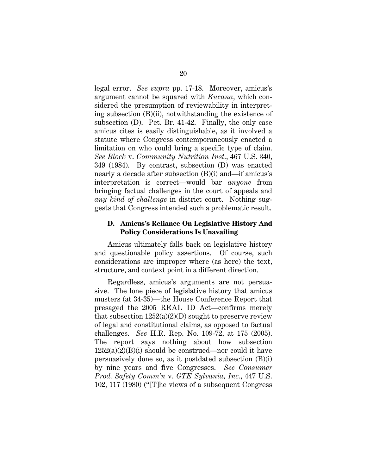legal error. *See supra* pp. 17-18. Moreover, amicus's argument cannot be squared with *Kucana*, which considered the presumption of reviewability in interpreting subsection (B)(ii), notwithstanding the existence of subsection (D). Pet. Br. 41-42. Finally, the only case amicus cites is easily distinguishable, as it involved a statute where Congress contemporaneously enacted a limitation on who could bring a specific type of claim. *See Block* v. *Community Nutrition Inst.*, 467 U.S. 340, 349 (1984). By contrast, subsection (D) was enacted nearly a decade after subsection (B)(i) and—if amicus's interpretation is correct—would bar *anyone* from bringing factual challenges in the court of appeals and *any kind of challenge* in district court. Nothing suggests that Congress intended such a problematic result.

#### **D. Amicus's Reliance On Legislative History And Policy Considerations Is Unavailing**

Amicus ultimately falls back on legislative history and questionable policy assertions. Of course, such considerations are improper where (as here) the text, structure, and context point in a different direction.

Regardless, amicus's arguments are not persuasive. The lone piece of legislative history that amicus musters (at 34-35)—the House Conference Report that presaged the 2005 REAL ID Act—confirms merely that subsection  $1252(a)(2)(D)$  sought to preserve review of legal and constitutional claims, as opposed to factual challenges. *See* H.R. Rep. No. 109-72, at 175 (2005). The report says nothing about how subsection  $1252(a)(2)(B)(i)$  should be construed—nor could it have persuasively done so, as it postdated subsection (B)(i) by nine years and five Congresses. *See Consumer Prod. Safety Comm'n* v. *GTE Sylvania, Inc.*, 447 U.S. 102, 117 (1980) ("[T]he views of a subsequent Congress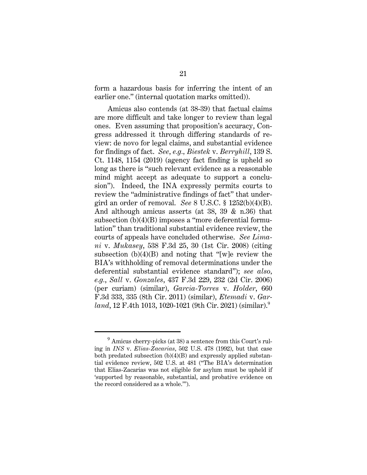form a hazardous basis for inferring the intent of an earlier one." (internal quotation marks omitted)).

Amicus also contends (at 38-39) that factual claims are more difficult and take longer to review than legal ones. Even assuming that proposition's accuracy, Congress addressed it through differing standards of review: de novo for legal claims, and substantial evidence for findings of fact. *See*, *e.g., Biestek* v. *Berryhill*, 139 S. Ct. 1148, 1154 (2019) (agency fact finding is upheld so long as there is "such relevant evidence as a reasonable mind might accept as adequate to support a conclusion"). Indeed, the INA expressly permits courts to review the "administrative findings of fact" that undergird an order of removal. *See* 8 U.S.C. § 1252(b)(4)(B). And although amicus asserts (at 38, 39 & n.36) that subsection (b)(4)(B) imposes a "more deferential formulation" than traditional substantial evidence review, the courts of appeals have concluded otherwise. *See Limani* v. *Mukasey*, 538 F.3d 25, 30 (1st Cir. 2008) (citing subsection  $(b)(4)(B)$  and noting that "[w]e review the BIA's withholding of removal determinations under the deferential substantial evidence standard"); *see also, e.g.*, *Sall* v. *Gonzales*, 437 F.3d 229, 232 (2d Cir. 2006) (per curiam) (similar), *Garcia-Torres* v. *Holder*, 660 F.3d 333, 335 (8th Cir. 2011) (similar), *Etemadi* v. *Garland*, 12 F.4th 1013, 1020-1021 (9th Cir. 2021) (similar).<sup>9</sup>

<sup>&</sup>lt;sup>9</sup> Amicus cherry-picks (at 38) a sentence from this Court's ruling in *INS* v. *Elias-Zacarias*, 502 U.S. 478 (1992), but that case both predated subsection (b)(4)(B) and expressly applied substantial evidence review, 502 U.S. at 481 ("The BIA's determination that Elias-Zacarias was not eligible for asylum must be upheld if 'supported by reasonable, substantial, and probative evidence on the record considered as a whole.'").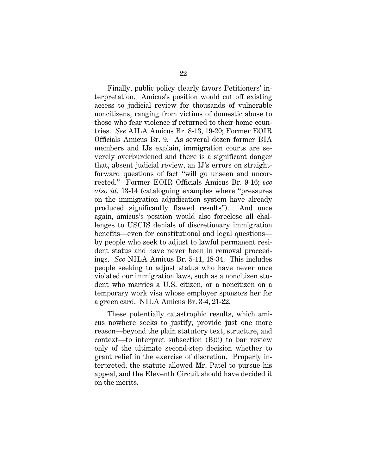Finally, public policy clearly favors Petitioners' interpretation. Amicus's position would cut off existing access to judicial review for thousands of vulnerable noncitizens, ranging from victims of domestic abuse to those who fear violence if returned to their home countries. *See* AILA Amicus Br. 8-13, 19-20; Former EOIR Officials Amicus Br. 9. As several dozen former BIA members and IJs explain, immigration courts are severely overburdened and there is a significant danger that, absent judicial review, an IJ's errors on straightforward questions of fact "will go unseen and uncorrected." Former EOIR Officials Amicus Br. 9-16; *see also id*. 13-14 (cataloguing examples where "pressures on the immigration adjudication system have already produced significantly flawed results"). And once again, amicus's position would also foreclose all challenges to USCIS denials of discretionary immigration benefits—even for constitutional and legal questions by people who seek to adjust to lawful permanent resident status and have never been in removal proceedings. *See* NILA Amicus Br. 5-11, 18-34. This includes people seeking to adjust status who have never once violated our immigration laws, such as a noncitizen student who marries a U.S. citizen, or a noncitizen on a temporary work visa whose employer sponsors her for a green card. NILA Amicus Br. 3-4, 21-22.

These potentially catastrophic results, which amicus nowhere seeks to justify, provide just one more reason—beyond the plain statutory text, structure, and context—to interpret subsection (B)(i) to bar review only of the ultimate second-step decision whether to grant relief in the exercise of discretion. Properly interpreted, the statute allowed Mr. Patel to pursue his appeal, and the Eleventh Circuit should have decided it on the merits.